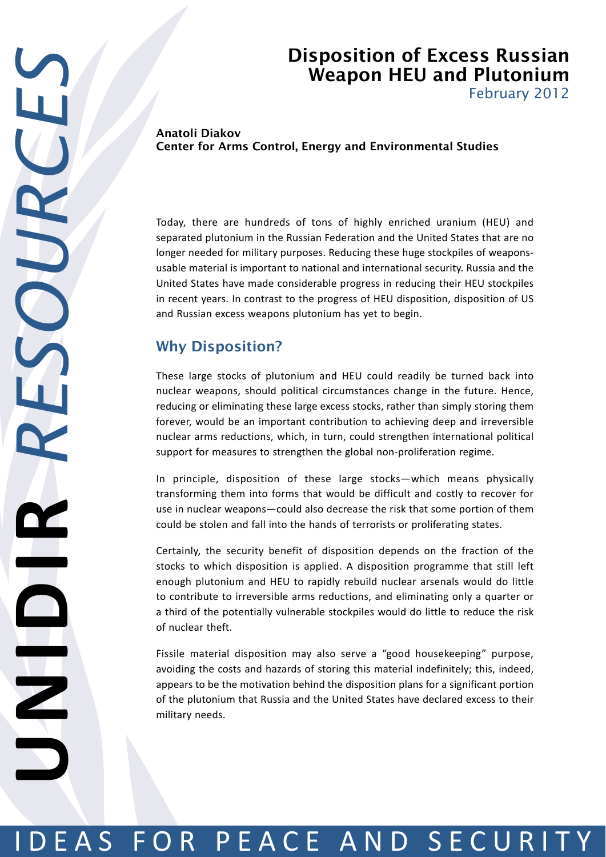## Disposition of Excess Russian Weapon HEU and Plutonium

February 2012

Anatoli Diakov Center for Arms Control, Energy and Environmental Studies

Today, there are hundreds of tons of highly enriched uranium (HEU) and separated plutonium in the Russian Federation and the United States that are no longer needed for military purposes. Reducing these huge stockpiles of weaponsusable material is important to national and international security. Russia and the United States have made considerable progress in reducing their HEU stockpiles in recent years. In contrast to the progress of HEU disposition, disposition of US and Russian excess weapons plutonium has yet to begin.

## Why Disposition?

These large stocks of plutonium and HEU could readily be turned back into nuclear weapons, should political circumstances change in the future. Hence, reducing or eliminating these large excess stocks, rather than simply storing them forever, would be an important contribution to achieving deep and irreversible nuclear arms reductions, which, in turn, could strengthen international political support for measures to strengthen the global non-proliferation regime.

In principle, disposition of these large stocks—which means physically transforming them into forms that would be difficult and costly to recover for use in nuclear weapons—could also decrease the risk that some portion of them could be stolen and fall into the hands of terrorists or proliferating states.

Certainly, the security benefit of disposition depends on the fraction of the stocks to which disposition is applied. A disposition programme that still left enough plutonium and HEU to rapidly rebuild nuclear arsenals would do little to contribute to irreversible arms reductions, and eliminating only a quarter or a third of the potentially vulnerable stockpiles would do little to reduce the risk of nuclear theft.

Fissile material disposition may also serve a "good housekeeping" purpose, avoiding the costs and hazards of storing this material indefinitely; this, indeed, appears to be the motivation behind the disposition plans for a significant portion of the plutonium that Russia and the United States have declared excess to their military needs.

# IDEAS FOR PEACE AND SECURITY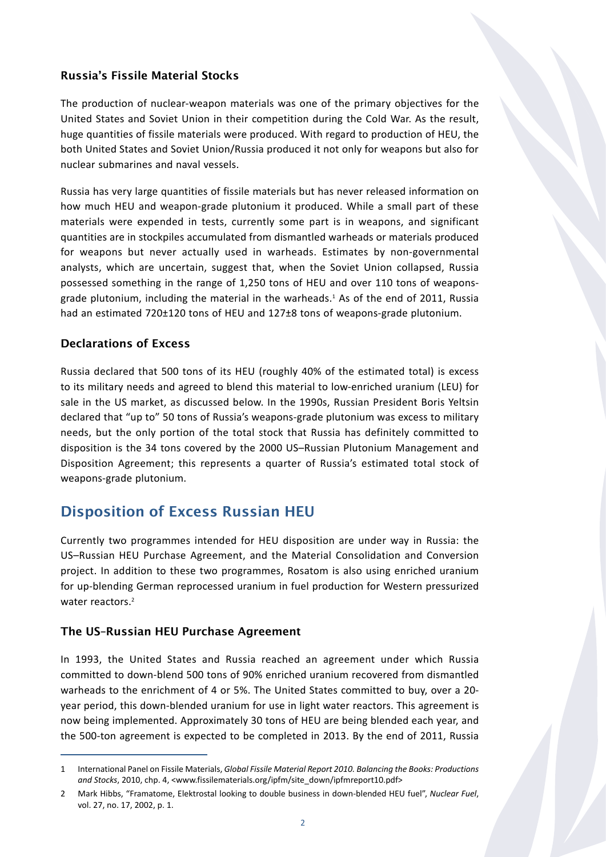## Russia's Fissile Material Stocks

The production of nuclear-weapon materials was one of the primary objectives for the United States and Soviet Union in their competition during the Cold War. As the result, huge quantities of fissile materials were produced. With regard to production of HEU, the both United States and Soviet Union/Russia produced it not only for weapons but also for nuclear submarines and naval vessels.

Russia has very large quantities of fissile materials but has never released information on how much HEU and weapon-grade plutonium it produced. While a small part of these materials were expended in tests, currently some part is in weapons, and significant quantities are in stockpiles accumulated from dismantled warheads or materials produced for weapons but never actually used in warheads. Estimates by non-governmental analysts, which are uncertain, suggest that, when the Soviet Union collapsed, Russia possessed something in the range of 1,250 tons of HEU and over 110 tons of weaponsgrade plutonium, including the material in the warheads.<sup>1</sup> As of the end of 2011, Russia had an estimated 720±120 tons of HEU and 127±8 tons of weapons-grade plutonium.

#### Declarations of Excess

Russia declared that 500 tons of its HEU (roughly 40% of the estimated total) is excess to its military needs and agreed to blend this material to low-enriched uranium (LEU) for sale in the US market, as discussed below. In the 1990s, Russian President Boris Yeltsin declared that "up to" 50 tons of Russia's weapons-grade plutonium was excess to military needs, but the only portion of the total stock that Russia has definitely committed to disposition is the 34 tons covered by the 2000 US–Russian Plutonium Management and Disposition Agreement; this represents a quarter of Russia's estimated total stock of weapons-grade plutonium.

## Disposition of Excess Russian HEU

Currently two programmes intended for HEU disposition are under way in Russia: the US–Russian HEU Purchase Agreement, and the Material Consolidation and Conversion project. In addition to these two programmes, Rosatom is also using enriched uranium for up-blending German reprocessed uranium in fuel production for Western pressurized water reactors.<sup>2</sup>

## The US–Russian HEU Purchase Agreement

In 1993, the United States and Russia reached an agreement under which Russia committed to down-blend 500 tons of 90% enriched uranium recovered from dismantled warheads to the enrichment of 4 or 5%. The United States committed to buy, over a 20 year period, this down-blended uranium for use in light water reactors. This agreement is now being implemented. Approximately 30 tons of HEU are being blended each year, and the 500-ton agreement is expected to be completed in 2013. By the end of 2011, Russia

<sup>1</sup> International Panel on Fissile Materials, *Global Fissile Material Report 2010. Balancing the Books: Productions and Stocks*, 2010, chp. 4, <www.fissilematerials.org/ipfm/site\_down/ipfmreport10.pdf>

<sup>2</sup> Mark Hibbs, "Framatome, Elektrostal looking to double business in down-blended HEU fuel", *Nuclear Fuel*, vol. 27, no. 17, 2002, p. 1.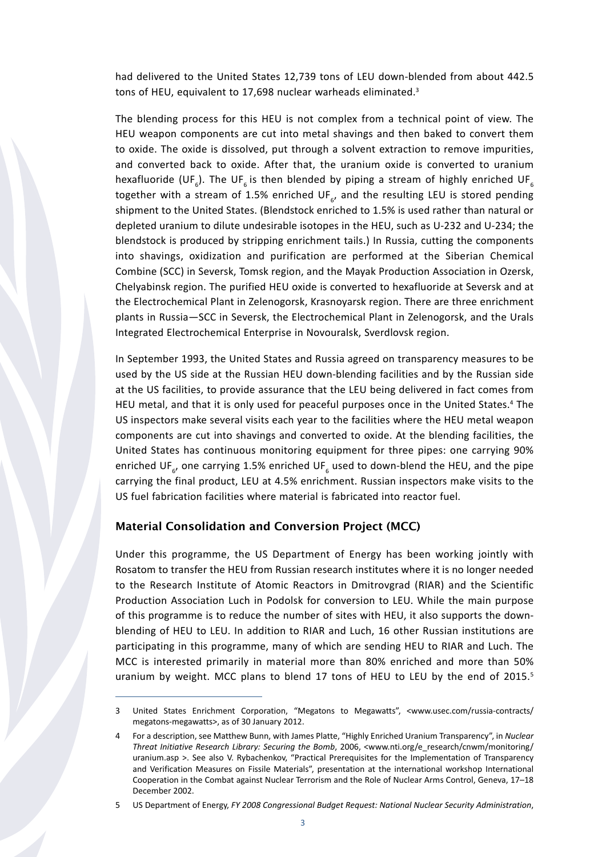had delivered to the United States 12,739 tons of LEU down-blended from about 442.5 tons of HEU, equivalent to 17,698 nuclear warheads eliminated.<sup>3</sup>

The blending process for this HEU is not complex from a technical point of view. The HEU weapon components are cut into metal shavings and then baked to convert them to oxide. The oxide is dissolved, put through a solvent extraction to remove impurities, and converted back to oxide. After that, the uranium oxide is converted to uranium hexafluoride (UF<sub>6</sub>). The UF<sub>6</sub> is then blended by piping a stream of highly enriched UF<sub>6</sub> together with a stream of 1.5% enriched UF<sub>6</sub>, and the resulting LEU is stored pending shipment to the United States. (Blendstock enriched to 1.5% is used rather than natural or depleted uranium to dilute undesirable isotopes in the HEU, such as U-232 and U-234; the blendstock is produced by stripping enrichment tails.) In Russia, cutting the components into shavings, oxidization and purification are performed at the Siberian Chemical Combine (SCC) in Seversk, Tomsk region, and the Mayak Production Association in Ozersk, Chelyabinsk region. The purified HEU oxide is converted to hexafluoride at Seversk and at the Electrochemical Plant in Zelenogorsk, Krasnoyarsk region. There are three enrichment plants in Russia—SCC in Seversk, the Electrochemical Plant in Zelenogorsk, and the Urals Integrated Electrochemical Enterprise in Novouralsk, Sverdlovsk region.

In September 1993, the United States and Russia agreed on transparency measures to be used by the US side at the Russian HEU down-blending facilities and by the Russian side at the US facilities, to provide assurance that the LEU being delivered in fact comes from HEU metal, and that it is only used for peaceful purposes once in the United States.<sup>4</sup> The US inspectors make several visits each year to the facilities where the HEU metal weapon components are cut into shavings and converted to oxide. At the blending facilities, the United States has continuous monitoring equipment for three pipes: one carrying 90% enriched UF<sub>6</sub>, one carrying 1.5% enriched UF<sub>6</sub> used to down-blend the HEU, and the pipe carrying the final product, LEU at 4.5% enrichment. Russian inspectors make visits to the US fuel fabrication facilities where material is fabricated into reactor fuel.

#### Material Consolidation and Conversion Project (MCC)

Under this programme, the US Department of Energy has been working jointly with Rosatom to transfer the HEU from Russian research institutes where it is no longer needed to the Research Institute of Atomic Reactors in Dmitrovgrad (RIAR) and the Scientific Production Association Luch in Podolsk for conversion to LEU. While the main purpose of this programme is to reduce the number of sites with HEU, it also supports the downblending of HEU to LEU. In addition to RIAR and Luch, 16 other Russian institutions are participating in this programme, many of which are sending HEU to RIAR and Luch. The MCC is interested primarily in material more than 80% enriched and more than 50% uranium by weight. MCC plans to blend 17 tons of HEU to LEU by the end of  $2015$ .<sup>5</sup>

<sup>3</sup> United States Enrichment Corporation, "Megatons to Megawatts", <www.usec.com/russia-contracts/ megatons-megawatts>, as of 30 January 2012.

<sup>4</sup> For a description, see Matthew Bunn, with James Platte, "Highly Enriched Uranium Transparency", in *Nuclear Threat Initiative Research Library: Securing the Bomb*, 2006, <www.nti.org/e\_research/cnwm/monitoring/ uranium.asp >. See also V. Rybachenkov, "Practical Prerequisites for the Implementation of Transparency and Verification Measures on Fissile Materials", presentation at the international workshop International Cooperation in the Combat against Nuclear Terrorism and the Role of Nuclear Arms Control, Geneva, 17–18 December 2002.

<sup>5</sup> US Department of Energy, *FY 2008 Congressional Budget Request: National Nuclear Security Administration*,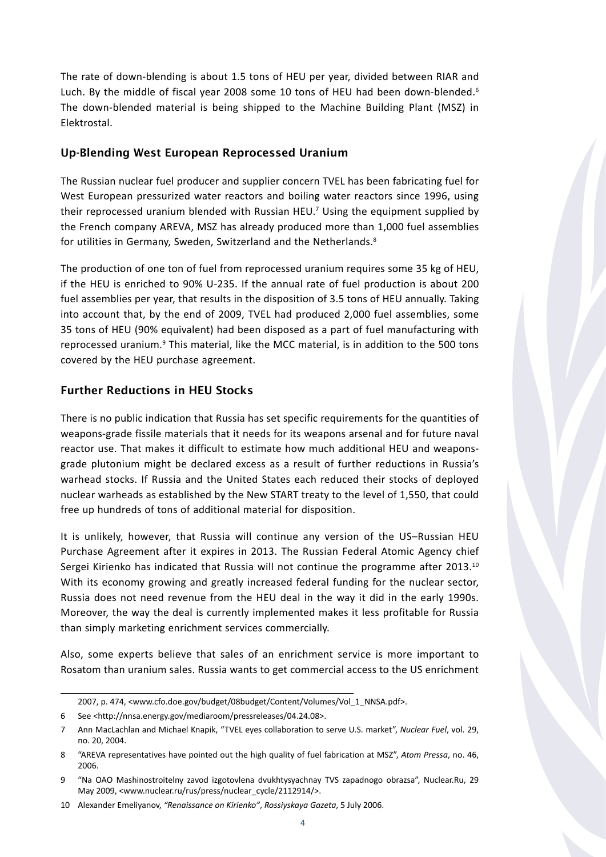The rate of down-blending is about 1.5 tons of HEU per year, divided between RIAR and Luch. By the middle of fiscal year 2008 some 10 tons of HEU had been down-blended.<sup>6</sup> The down-blended material is being shipped to the Machine Building Plant (MSZ) in Elektrostal.

#### Up-Blending West European Reprocessed Uranium

The Russian nuclear fuel producer and supplier concern TVEL has been fabricating fuel for West European pressurized water reactors and boiling water reactors since 1996, using their reprocessed uranium blended with Russian HEU.<sup>7</sup> Using the equipment supplied by the French company AREVA, MSZ has already produced more than 1,000 fuel assemblies for utilities in Germany, Sweden, Switzerland and the Netherlands.<sup>8</sup>

The production of one ton of fuel from reprocessed uranium requires some 35 kg of HEU, if the HEU is enriched to 90% U-235. If the annual rate of fuel production is about 200 fuel assemblies per year, that results in the disposition of 3.5 tons of HEU annually. Taking into account that, by the end of 2009, TVEL had produced 2,000 fuel assemblies, some 35 tons of HEU (90% equivalent) had been disposed as a part of fuel manufacturing with reprocessed uranium.<sup>9</sup> This material, like the MCC material, is in addition to the 500 tons covered by the HEU purchase agreement.

## Further Reductions in HEU Stocks

There is no public indication that Russia has set specific requirements for the quantities of weapons-grade fissile materials that it needs for its weapons arsenal and for future naval reactor use. That makes it difficult to estimate how much additional HEU and weaponsgrade plutonium might be declared excess as a result of further reductions in Russia's warhead stocks. If Russia and the United States each reduced their stocks of deployed nuclear warheads as established by the New START treaty to the level of 1,550, that could free up hundreds of tons of additional material for disposition.

It is unlikely, however, that Russia will continue any version of the US–Russian HEU Purchase Agreement after it expires in 2013. The Russian Federal Atomic Agency chief Sergei Kirienko has indicated that Russia will not continue the programme after 2013.<sup>10</sup> With its economy growing and greatly increased federal funding for the nuclear sector, Russia does not need revenue from the HEU deal in the way it did in the early 1990s. Moreover, the way the deal is currently implemented makes it less profitable for Russia than simply marketing enrichment services commercially.

Also, some experts believe that sales of an enrichment service is more important to Rosatom than uranium sales. Russia wants to get commercial access to the US enrichment

<sup>2007,</sup> p. 474, <www.cfo.doe.gov/budget/08budget/Content/Volumes/Vol\_1\_NNSA.pdf>.

<sup>6</sup> See <http://nnsa.energy.gov/mediaroom/pressreleases/04.24.08>.

<sup>7</sup> Ann MacLachlan and Michael Knapik, "TVEL eyes collaboration to serve U.S. market", *Nuclear Fuel*, vol. 29, no. 20, 2004.

<sup>8</sup> "AREVA representatives have pointed out the high quality of fuel fabrication at MSZ", *Atom Pressa*, no. 46, 2006.

<sup>9</sup> "Na OAO Mashinostroitelny zavod izgotovlena dvukhtysyachnay TVS zapadnogo obrazsa", Nuclear.Ru, 29 May 2009, <www.nuclear.ru/rus/press/nuclear\_cycle/2112914/>.

<sup>10</sup> Alexander Emeliyanov, *"Renaissance on Kirienko"*, *Rossiyskaya Gazeta*, 5 July 2006.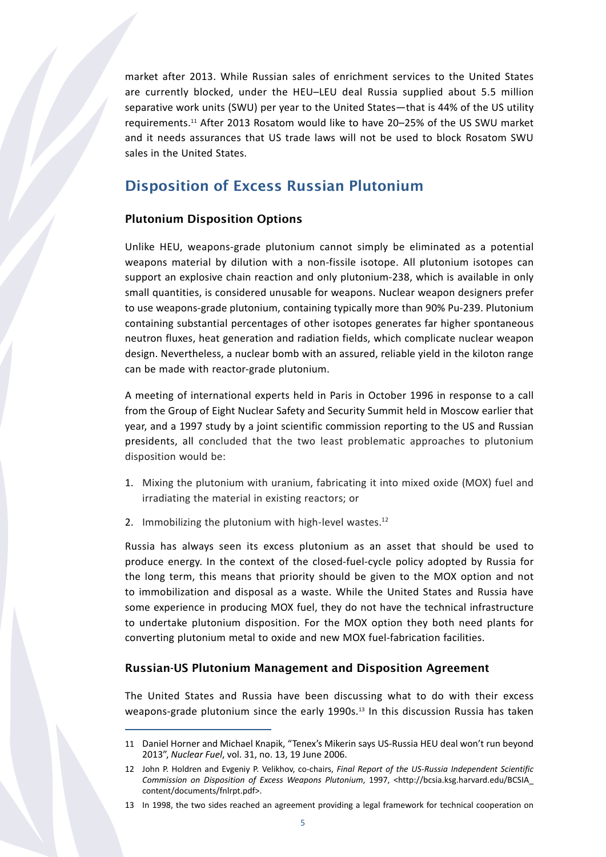market after 2013. While Russian sales of enrichment services to the United States are currently blocked, under the HEU–LEU deal Russia supplied about 5.5 million separative work units (SWU) per year to the United States—that is 44% of the US utility requirements.11 After 2013 Rosatom would like to have 20–25% of the US SWU market and it needs assurances that US trade laws will not be used to block Rosatom SWU sales in the United States.

## Disposition of Excess Russian Plutonium

#### Plutonium Disposition Options

Unlike HEU, weapons-grade plutonium cannot simply be eliminated as a potential weapons material by dilution with a non-fissile isotope. All plutonium isotopes can support an explosive chain reaction and only plutonium-238, which is available in only small quantities, is considered unusable for weapons. Nuclear weapon designers prefer to use weapons-grade plutonium, containing typically more than 90% Pu-239. Plutonium containing substantial percentages of other isotopes generates far higher spontaneous neutron fluxes, heat generation and radiation fields, which complicate nuclear weapon design. Nevertheless, a nuclear bomb with an assured, reliable yield in the kiloton range can be made with reactor-grade plutonium.

A meeting of international experts held in Paris in October 1996 in response to a call from the Group of Eight Nuclear Safety and Security Summit held in Moscow earlier that year, and a 1997 study by a joint scientific commission reporting to the US and Russian presidents, all concluded that the two least problematic approaches to plutonium disposition would be:

- 1. Mixing the plutonium with uranium, fabricating it into mixed oxide (MOX) fuel and irradiating the material in existing reactors; or
- 2. Immobilizing the plutonium with high-level wastes. $12$

Russia has always seen its excess plutonium as an asset that should be used to produce energy. In the context of the closed-fuel-cycle policy adopted by Russia for the long term, this means that priority should be given to the MOX option and not to immobilization and disposal as a waste. While the United States and Russia have some experience in producing MOX fuel, they do not have the technical infrastructure to undertake plutonium disposition. For the MOX option they both need plants for converting plutonium metal to oxide and new MOX fuel-fabrication facilities.

#### Russian-US Plutonium Management and Disposition Agreement

The United States and Russia have been discussing what to do with their excess weapons-grade plutonium since the early 1990s.<sup>13</sup> In this discussion Russia has taken

<sup>11</sup> Daniel Horner and Michael Knapik, "Tenex's Mikerin says US-Russia HEU deal won't run beyond 2013", *Nuclear Fuel*, vol. 31, no. 13, 19 June 2006.

<sup>12</sup> John P. Holdren and Evgeniy P. Velikhov, co-chairs, *Final Report of the US-Russia Independent Scientific Commission on Disposition of Excess Weapons Plutonium*, 1997, <http://bcsia.ksg.harvard.edu/BCSIA\_ content/documents/fnlrpt.pdf>.

<sup>13</sup> In 1998, the two sides reached an agreement providing a legal framework for technical cooperation on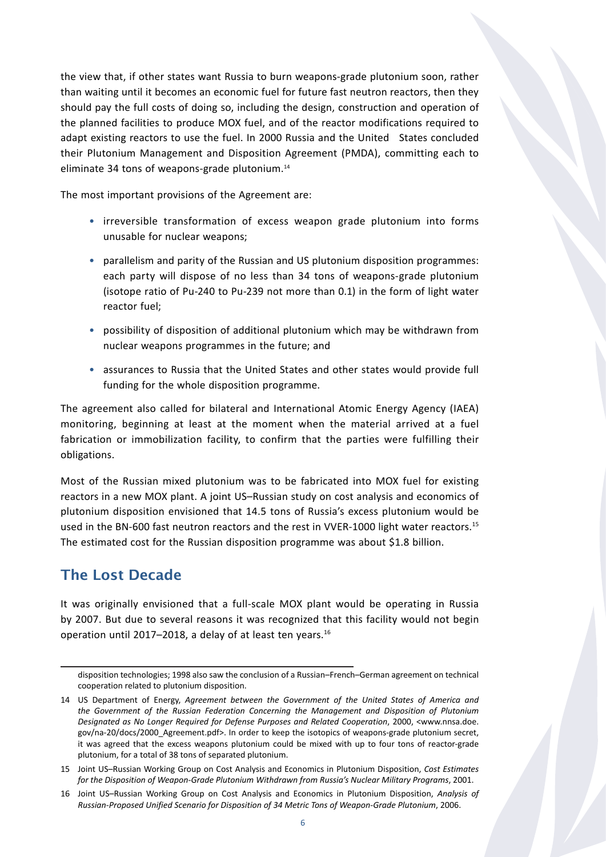the view that, if other states want Russia to burn weapons-grade plutonium soon, rather than waiting until it becomes an economic fuel for future fast neutron reactors, then they should pay the full costs of doing so, including the design, construction and operation of the planned facilities to produce MOX fuel, and of the reactor modifications required to adapt existing reactors to use the fuel. In 2000 Russia and the United States concluded their Plutonium Management and Disposition Agreement (PMDA), committing each to eliminate 34 tons of weapons-grade plutonium.<sup>14</sup>

The most important provisions of the Agreement are:

- • irreversible transformation of excess weapon grade plutonium into forms unusable for nuclear weapons;
- • parallelism and parity of the Russian and US plutonium disposition programmes: each party will dispose of no less than 34 tons of weapons-grade plutonium (isotope ratio of Pu-240 to Pu-239 not more than 0.1) in the form of light water reactor fuel;
- • possibility of disposition of additional plutonium which may be withdrawn from nuclear weapons programmes in the future; and
- • assurances to Russia that the United States and other states would provide full funding for the whole disposition programme.

The agreement also called for bilateral and International Atomic Energy Agency (IAEA) monitoring, beginning at least at the moment when the material arrived at a fuel fabrication or immobilization facility, to confirm that the parties were fulfilling their obligations.

Most of the Russian mixed plutonium was to be fabricated into MOX fuel for existing reactors in a new MOX plant. A joint US–Russian study on cost analysis and economics of plutonium disposition envisioned that 14.5 tons of Russia's excess plutonium would be used in the BN-600 fast neutron reactors and the rest in VVER-1000 light water reactors.<sup>15</sup> The estimated cost for the Russian disposition programme was about \$1.8 billion.

## The Lost Decade

It was originally envisioned that a full-scale MOX plant would be operating in Russia by 2007. But due to several reasons it was recognized that this facility would not begin operation until 2017–2018, a delay of at least ten years.16

disposition technologies; 1998 also saw the conclusion of a Russian–French–German agreement on technical cooperation related to plutonium disposition.

<sup>14</sup> US Department of Energy, *Agreement between the Government of the United States of America and the Government of the Russian Federation Concerning the Management and Disposition of Plutonium Designated as No Longer Required for Defense Purposes and Related Cooperation*, 2000, <www.nnsa.doe. gov/na-20/docs/2000\_Agreement.pdf>. In order to keep the isotopics of weapons-grade plutonium secret, it was agreed that the excess weapons plutonium could be mixed with up to four tons of reactor-grade plutonium, for a total of 38 tons of separated plutonium.

<sup>15</sup> Joint US–Russian Working Group on Cost Analysis and Economics in Plutonium Disposition, *Cost Estimates for the Disposition of Weapon-Grade Plutonium Withdrawn from Russia's Nuclear Military Programs*, 2001.

<sup>16</sup> Joint US–Russian Working Group on Cost Analysis and Economics in Plutonium Disposition, *Analysis of Russian-Proposed Unified Scenario for Disposition of 34 Metric Tons of Weapon-Grade Plutonium*, 2006.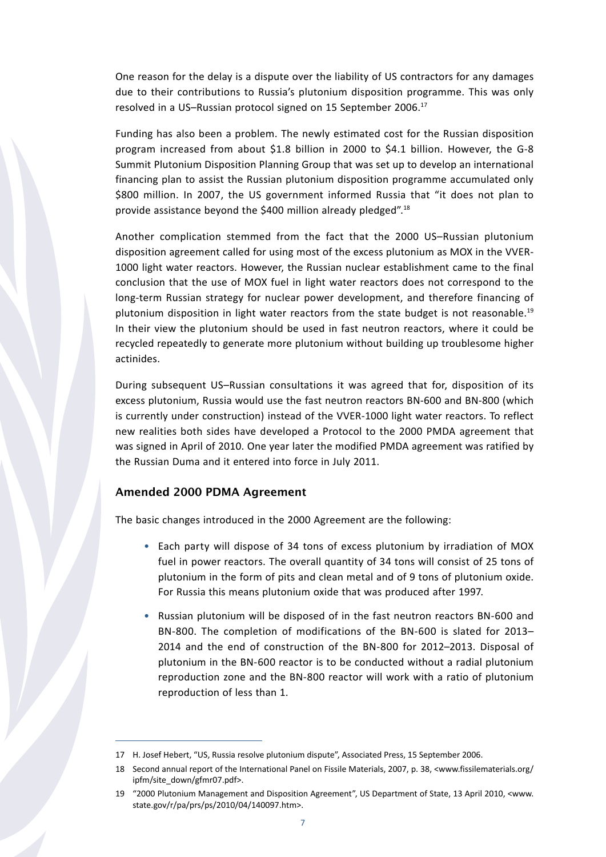One reason for the delay is a dispute over the liability of US contractors for any damages due to their contributions to Russia's plutonium disposition programme. This was only resolved in a US-Russian protocol signed on 15 September 2006.<sup>17</sup>

Funding has also been a problem. The newly estimated cost for the Russian disposition program increased from about \$1.8 billion in 2000 to \$4.1 billion. However, the G-8 Summit Plutonium Disposition Planning Group that was set up to develop an international financing plan to assist the Russian plutonium disposition programme accumulated only \$800 million. In 2007, the US government informed Russia that "it does not plan to provide assistance beyond the \$400 million already pledged".18

Another complication stemmed from the fact that the 2000 US–Russian plutonium disposition agreement called for using most of the excess plutonium as MOX in the VVER-1000 light water reactors. However, the Russian nuclear establishment came to the final conclusion that the use of MOX fuel in light water reactors does not correspond to the long-term Russian strategy for nuclear power development, and therefore financing of plutonium disposition in light water reactors from the state budget is not reasonable.<sup>19</sup> In their view the plutonium should be used in fast neutron reactors, where it could be recycled repeatedly to generate more plutonium without building up troublesome higher actinides.

During subsequent US–Russian consultations it was agreed that for, disposition of its excess plutonium, Russia would use the fast neutron reactors BN-600 and BN-800 (which is currently under construction) instead of the VVER-1000 light water reactors. To reflect new realities both sides have developed a Protocol to the 2000 PMDA agreement that was signed in April of 2010. One year later the modified PMDA agreement was ratified by the Russian Duma and it entered into force in July 2011.

#### Amended 2000 PDMA Agreement

The basic changes introduced in the 2000 Agreement are the following:

- Each party will dispose of 34 tons of excess plutonium by irradiation of MOX fuel in power reactors. The overall quantity of 34 tons will consist of 25 tons of plutonium in the form of pits and clean metal and of 9 tons of plutonium oxide. For Russia this means plutonium oxide that was produced after 1997.
- Russian plutonium will be disposed of in the fast neutron reactors BN-600 and BN-800. The completion of modifications of the BN-600 is slated for 2013– 2014 and the end of construction of the BN-800 for 2012–2013. Disposal of plutonium in the BN-600 reactor is to be conducted without a radial plutonium reproduction zone and the BN-800 reactor will work with a ratio of plutonium reproduction of less than 1.

<sup>17</sup> H. Josef Hebert, "US, Russia resolve plutonium dispute", Associated Press, 15 September 2006.

<sup>18</sup> Second annual report of the International Panel on Fissile Materials, 2007, p. 38, <www.fissilematerials.org/ ipfm/site\_down/gfmr07.pdf>.

<sup>19</sup> "2000 Plutonium Management and Disposition Agreement", US Department of State, 13 April 2010, <www. state.gov/r/pa/prs/ps/2010/04/140097.htm>.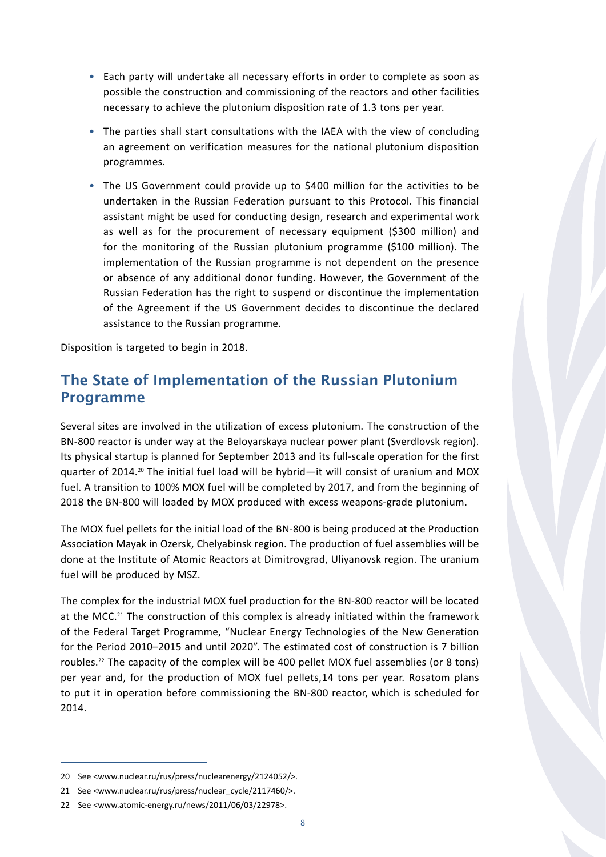- • Each party will undertake all necessary efforts in order to complete as soon as possible the construction and commissioning of the reactors and other facilities necessary to achieve the plutonium disposition rate of 1.3 tons per year.
- The parties shall start consultations with the IAEA with the view of concluding an agreement on verification measures for the national plutonium disposition programmes.
- • The US Government could provide up to \$400 million for the activities to be undertaken in the Russian Federation pursuant to this Protocol. This financial assistant might be used for conducting design, research and experimental work as well as for the procurement of necessary equipment (\$300 million) and for the monitoring of the Russian plutonium programme (\$100 million). The implementation of the Russian programme is not dependent on the presence or absence of any additional donor funding. However, the Government of the Russian Federation has the right to suspend or discontinue the implementation of the Agreement if the US Government decides to discontinue the declared assistance to the Russian programme.

Disposition is targeted to begin in 2018.

## The State of Implementation of the Russian Plutonium Programme

Several sites are involved in the utilization of excess plutonium. The construction of the BN-800 reactor is under way at the Beloyarskaya nuclear power plant (Sverdlovsk region). Its physical startup is planned for September 2013 and its full-scale operation for the first quarter of 2014.20 The initial fuel load will be hybrid—it will consist of uranium and MOX fuel. A transition to 100% MOX fuel will be completed by 2017, and from the beginning of 2018 the BN-800 will loaded by MOX produced with excess weapons-grade plutonium.

The MOX fuel pellets for the initial load of the BN-800 is being produced at the Production Association Mayak in Ozersk, Chelyabinsk region. The production of fuel assemblies will be done at the Institute of Atomic Reactors at Dimitrovgrad, Uliyanovsk region. The uranium fuel will be produced by MSZ.

The complex for the industrial MOX fuel production for the BN-800 reactor will be located at the MCC.<sup>21</sup> The construction of this complex is already initiated within the framework of the Federal Target Programme, "Nuclear Energy Technologies of the New Generation for the Period 2010–2015 and until 2020". The estimated cost of construction is 7 billion roubles.22 The capacity of the complex will be 400 pellet MOX fuel assemblies (or 8 tons) per year and, for the production of MOX fuel pellets,14 tons per year. Rosatom plans to put it in operation before commissioning the BN-800 reactor, which is scheduled for 2014.

<sup>20</sup> See <www.nuclear.ru/rus/press/nuclearenergy/2124052/>.

<sup>21</sup> See <www.nuclear.ru/rus/press/nuclear\_cycle/2117460/>.

<sup>22</sup> See <www.atomic-energy.ru/news/2011/06/03/22978>.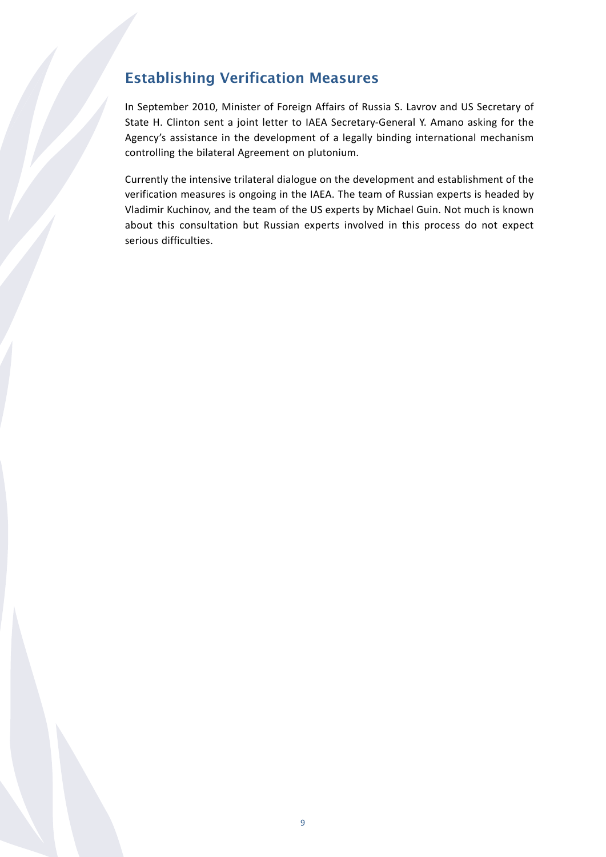## Establishing Verification Measures

In September 2010, Minister of Foreign Affairs of Russia S. Lavrov and US Secretary of State H. Clinton sent a joint letter to IAEA Secretary-General Y. Amano asking for the Agency's assistance in the development of a legally binding international mechanism controlling the bilateral Agreement on plutonium.

Currently the intensive trilateral dialogue on the development and establishment of the verification measures is ongoing in the IAEA. The team of Russian experts is headed by Vladimir Kuchinov, and the team of the US experts by Michael Guin. Not much is known about this consultation but Russian experts involved in this process do not expect serious difficulties.